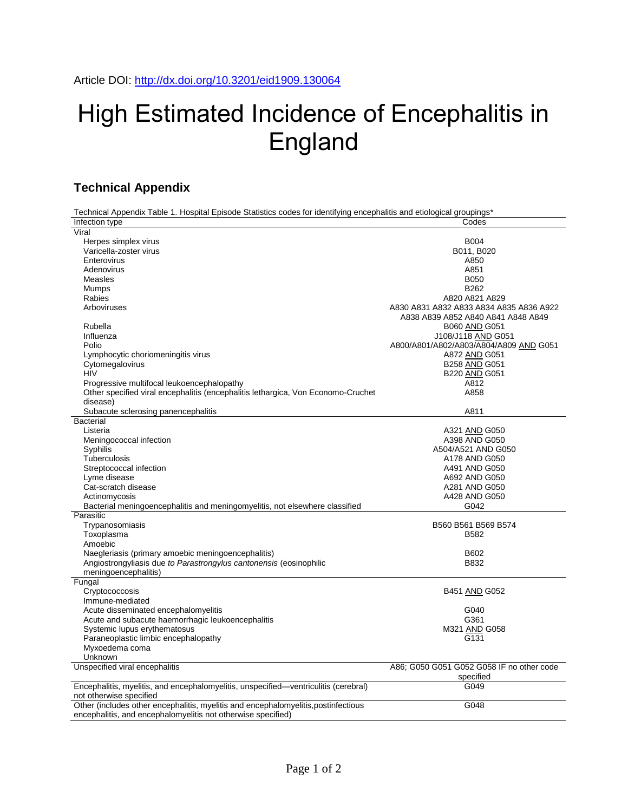## High Estimated Incidence of Encephalitis in England

## **Technical Appendix**

Technical Appendix Table 1. Hospital Episode Statistics codes for identifying encephalitis and etiological groupings\*

| Infection type                                                                      | Codes                                     |
|-------------------------------------------------------------------------------------|-------------------------------------------|
| Viral                                                                               |                                           |
| Herpes simplex virus                                                                | <b>B004</b>                               |
| Varicella-zoster virus                                                              | B011, B020                                |
| Enterovirus                                                                         | A850                                      |
| Adenovirus                                                                          | A851                                      |
| Measles                                                                             | <b>B050</b>                               |
| Mumps                                                                               | B262                                      |
| Rabies                                                                              | A820 A821 A829                            |
| Arboviruses                                                                         | A830 A831 A832 A833 A834 A835 A836 A922   |
|                                                                                     | A838 A839 A852 A840 A841 A848 A849        |
| Rubella                                                                             | B060 AND G051                             |
| Influenza                                                                           | J108/J118 AND G051                        |
| Polio                                                                               | A800/A801/A802/A803/A804/A809 AND G051    |
| Lymphocytic choriomeningitis virus                                                  | A872 AND G051                             |
| Cytomegalovirus                                                                     | B258 AND G051                             |
| <b>HIV</b>                                                                          | B220 AND G051                             |
| Progressive multifocal leukoencephalopathy                                          | A812                                      |
| Other specified viral encephalitis (encephalitis lethargica, Von Economo-Cruchet    | A858                                      |
| disease)                                                                            |                                           |
| Subacute sclerosing panencephalitis                                                 | A811                                      |
| <b>Bacterial</b>                                                                    |                                           |
| Listeria                                                                            | A321 AND G050                             |
| Meningococcal infection                                                             | A398 AND G050                             |
| Syphilis                                                                            | A504/A521 AND G050                        |
| Tuberculosis                                                                        | A178 AND G050                             |
| Streptococcal infection                                                             | A491 AND G050                             |
| Lyme disease                                                                        | A692 AND G050                             |
| Cat-scratch disease                                                                 | A281 AND G050                             |
| Actinomycosis                                                                       | A428 AND G050                             |
| Bacterial meningoencephalitis and meningomyelitis, not elsewhere classified         | G042                                      |
| Parasitic                                                                           |                                           |
| Trypanosomiasis                                                                     | B560 B561 B569 B574                       |
| Toxoplasma                                                                          | B582                                      |
| Amoebic                                                                             |                                           |
| Naegleriasis (primary amoebic meningoencephalitis)                                  | B602                                      |
| Angiostrongyliasis due to Parastrongylus cantonensis (eosinophilic                  | B832                                      |
| meningoencephalitis)                                                                |                                           |
| Fungal                                                                              |                                           |
| Cryptococcosis                                                                      | B451 AND G052                             |
| Immune-mediated                                                                     |                                           |
| Acute disseminated encephalomyelitis                                                | G040                                      |
| Acute and subacute haemorrhagic leukoencephalitis                                   | G361                                      |
| Systemic lupus erythematosus                                                        | M321 AND G058                             |
| Paraneoplastic limbic encephalopathy                                                | G131                                      |
| Myxoedema coma                                                                      |                                           |
| Unknown                                                                             |                                           |
| Unspecified viral encephalitis                                                      | A86; G050 G051 G052 G058 IF no other code |
|                                                                                     | specified                                 |
| Encephalitis, myelitis, and encephalomyelitis, unspecified-ventriculitis (cerebral) | G049                                      |
| not otherwise specified                                                             |                                           |
| Other (includes other encephalitis, myelitis and encephalomyelitis, postinfectious  | G048                                      |
| encephalitis, and encephalomyelitis not otherwise specified)                        |                                           |